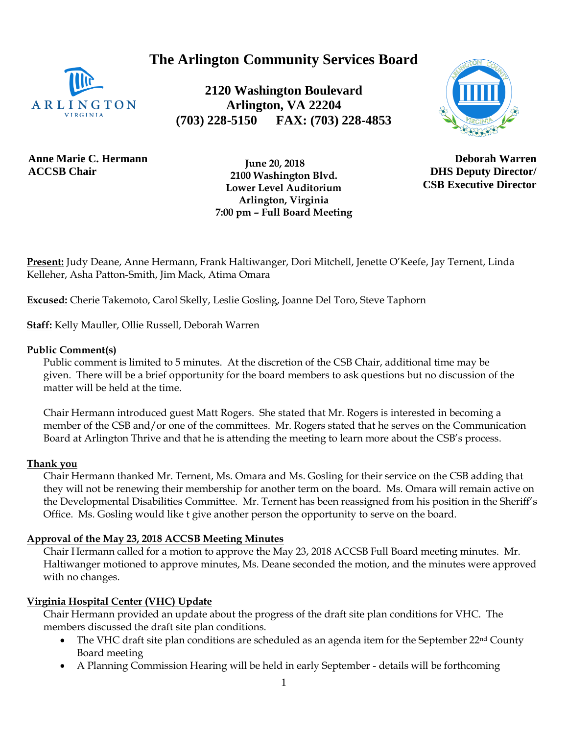**The Arlington Community Services Board**



**2120 Washington Boulevard Arlington, VA 22204 (703) 228-5150 FAX: (703) 228-4853**



**Anne Marie C. Hermann ACCSB Chair**

 **June 20, 2018 2100 Washington Blvd. Lower Level Auditorium Arlington, Virginia 7:00 pm – Full Board Meeting**

**Deborah Warren DHS Deputy Director/ CSB Executive Director**

**Present:** Judy Deane, Anne Hermann, Frank Haltiwanger, Dori Mitchell, Jenette O'Keefe, Jay Ternent, Linda Kelleher, Asha Patton-Smith, Jim Mack, Atima Omara

**Excused:** Cherie Takemoto, Carol Skelly, Leslie Gosling, Joanne Del Toro, Steve Taphorn

**Staff:** Kelly Mauller, Ollie Russell, Deborah Warren

#### **Public Comment(s)**

Public comment is limited to 5 minutes. At the discretion of the CSB Chair, additional time may be given. There will be a brief opportunity for the board members to ask questions [but](http://but.no/) no discussion of the matter will be held at the time.

Chair Hermann introduced guest Matt Rogers. She stated that Mr. Rogers is interested in becoming a member of the CSB and/or one of the committees. Mr. Rogers stated that he serves on the Communication Board at Arlington Thrive and that he is attending the meeting to learn more about the CSB's process.

#### **Thank you**

Chair Hermann thanked Mr. Ternent, Ms. Omara and Ms. Gosling for their service on the CSB adding that they will not be renewing their membership for another term on the board. Ms. Omara will remain active on the Developmental Disabilities Committee. Mr. Ternent has been reassigned from his position in the Sheriff's Office. Ms. Gosling would like t give another person the opportunity to serve on the board.

#### **Approval of the May 23, 2018 ACCSB Meeting Minutes**

Chair Hermann called for a motion to approve the May 23, 2018 ACCSB Full Board meeting minutes. Mr. Haltiwanger motioned to approve minutes, Ms. Deane seconded the motion, and the minutes were approved with no changes.

#### **Virginia Hospital Center (VHC) Update**

Chair Hermann provided an update about the progress of the draft site plan conditions for VHC. The members discussed the draft site plan conditions.

- The VHC draft site plan conditions are scheduled as an agenda item for the September 22<sup>nd</sup> County Board meeting
- A Planning Commission Hearing will be held in early September details will be forthcoming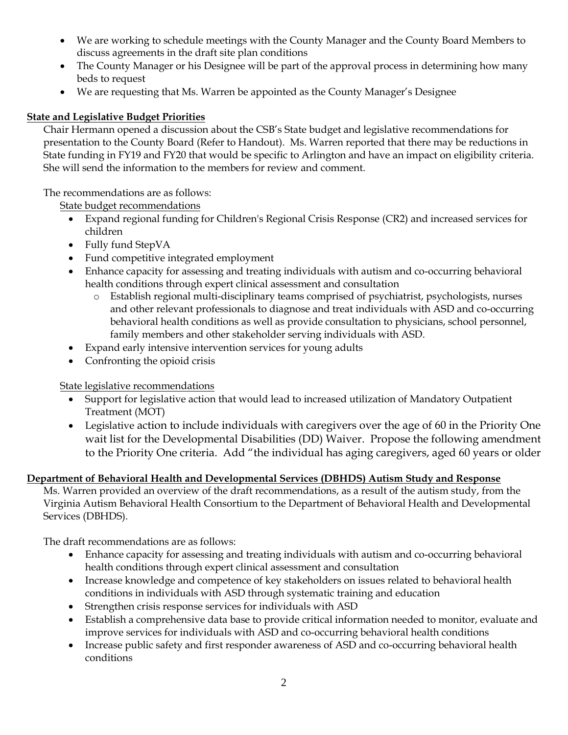- We are working to schedule meetings with the County Manager and the County Board Members to discuss agreements in the draft site plan conditions
- The County Manager or his Designee will be part of the approval process in determining how many beds to request
- We are requesting that Ms. Warren be appointed as the County Manager's Designee

# **State and Legislative Budget Priorities**

Chair Hermann opened a discussion about the CSB's State budget and legislative recommendations for presentation to the County Board (Refer to Handout). Ms. Warren reported that there may be reductions in State funding in FY19 and FY20 that would be specific to Arlington and have an impact on eligibility criteria. She will send the information to the members for review and comment.

### The recommendations are as follows:

State budget recommendations

- Expand regional funding for Children's Regional Crisis Response (CR2) and increased services for children
- Fully fund StepVA
- Fund competitive integrated employment
- Enhance capacity for assessing and treating individuals with autism and co-occurring behavioral health conditions through expert clinical assessment and consultation
	- o Establish regional multi-disciplinary teams comprised of psychiatrist, psychologists, nurses and other relevant professionals to diagnose and treat individuals with ASD and co-occurring behavioral health conditions as well as provide consultation to physicians, school personnel, family members and other stakeholder serving individuals with ASD.
- Expand early intensive intervention services for young adults
- Confronting the opioid crisis

### State legislative recommendations

- Support for legislative action that would lead to increased utilization of Mandatory Outpatient Treatment (MOT)
- Legislative action to include individuals with caregivers over the age of 60 in the Priority One wait list for the Developmental Disabilities (DD) Waiver. Propose the following amendment to the Priority One criteria. Add "the individual has aging caregivers, aged 60 years or older

### **Department of Behavioral Health and Developmental Services (DBHDS) Autism Study and Response**

Ms. Warren provided an overview of the draft recommendations, as a result of the autism study, from the Virginia Autism Behavioral Health Consortium to the Department of Behavioral Health and Developmental Services (DBHDS).

The draft recommendations are as follows:

- Enhance capacity for assessing and treating individuals with autism and co-occurring behavioral health conditions through expert clinical assessment and consultation
- Increase knowledge and competence of key stakeholders on issues related to behavioral health conditions in individuals with ASD through systematic training and education
- Strengthen crisis response services for individuals with ASD
- Establish a comprehensive data base to provide critical information needed to monitor, evaluate and improve services for individuals with ASD and co-occurring behavioral health conditions
- Increase public safety and first responder awareness of ASD and co-occurring behavioral health conditions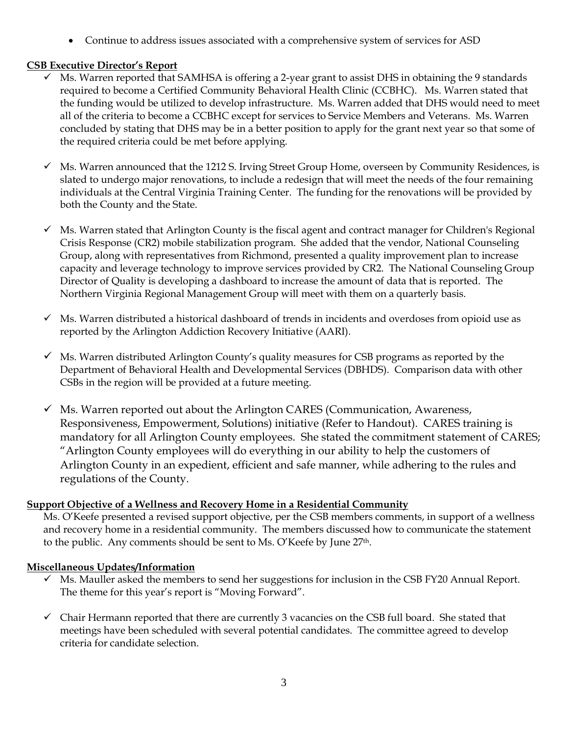• Continue to address issues associated with a comprehensive system of services for ASD

## **CSB Executive Director's Report**

- ✓ Ms. Warren reported that SAMHSA is offering a 2-year grant to assist DHS in obtaining the 9 standards required to become a Certified Community Behavioral Health Clinic (CCBHC). Ms. Warren stated that the funding would be utilized to develop infrastructure. Ms. Warren added that DHS would need to meet all of the criteria to become a CCBHC except for services to Service Members and Veterans. Ms. Warren concluded by stating that DHS may be in a better position to apply for the grant next year so that some of the required criteria could be met before applying.
- $\checkmark$  Ms. Warren announced that the 1212 S. Irving Street Group Home, overseen by Community Residences, is slated to undergo major renovations, to include a redesign that will meet the needs of the four remaining individuals at the Central Virginia Training Center. The funding for the renovations will be provided by both the County and the State.
- ✓ Ms. Warren stated that Arlington County is the fiscal agent and contract manager for Children's Regional Crisis Response (CR2) mobile stabilization program. She added that the vendor, National Counseling Group, along with representatives from Richmond, presented a quality improvement plan to increase capacity and leverage technology to improve services provided by CR2. The National Counseling Group Director of Quality is developing a dashboard to increase the amount of data that is reported. The Northern Virginia Regional Management Group will meet with them on a quarterly basis.
- $\checkmark$  Ms. Warren distributed a historical dashboard of trends in incidents and overdoses from opioid use as reported by the Arlington Addiction Recovery Initiative (AARI).
- $\checkmark$  Ms. Warren distributed Arlington County's quality measures for CSB programs as reported by the Department of Behavioral Health and Developmental Services (DBHDS). Comparison data with other CSBs in the region will be provided at a future meeting.
- $\checkmark$  Ms. Warren reported out about the Arlington CARES (Communication, Awareness, Responsiveness, Empowerment, Solutions) initiative (Refer to Handout). CARES training is mandatory for all Arlington County employees. She stated the commitment statement of CARES; "Arlington County employees will do everything in our ability to help the customers of Arlington County in an expedient, efficient and safe manner, while adhering to the rules and regulations of the County.

### **Support Objective of a Wellness and Recovery Home in a Residential Community**

Ms. O'Keefe presented a revised support objective, per the CSB members comments, in support of a wellness and recovery home in a residential community. The members discussed how to communicate the statement to the public. Any comments should be sent to Ms. O'Keefe by June 27th.

### **Miscellaneous Updates/Information**

- $\checkmark$  Ms. Mauller asked the members to send her suggestions for inclusion in the CSB FY20 Annual Report. The theme for this year's report is "Moving Forward".
- $\checkmark$  Chair Hermann reported that there are currently 3 vacancies on the CSB full board. She stated that meetings have been scheduled with several potential candidates. The committee agreed to develop criteria for candidate selection.